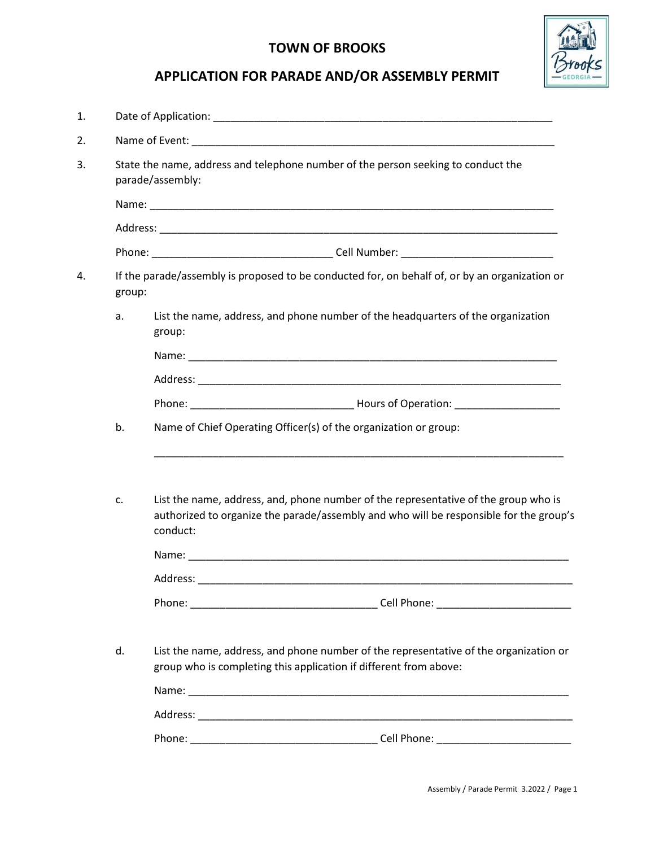## TOWN OF BROOKS



## APPLICATION FOR PARADE AND/OR ASSEMBLY PERMIT

| 1. |        |                                                                                                                                                                                           |
|----|--------|-------------------------------------------------------------------------------------------------------------------------------------------------------------------------------------------|
| 2. |        |                                                                                                                                                                                           |
| 3. |        | State the name, address and telephone number of the person seeking to conduct the<br>parade/assembly:                                                                                     |
|    |        |                                                                                                                                                                                           |
|    |        |                                                                                                                                                                                           |
|    |        |                                                                                                                                                                                           |
| 4. | group: | If the parade/assembly is proposed to be conducted for, on behalf of, or by an organization or                                                                                            |
|    | a.     | List the name, address, and phone number of the headquarters of the organization<br>group:                                                                                                |
|    |        |                                                                                                                                                                                           |
|    |        |                                                                                                                                                                                           |
|    |        |                                                                                                                                                                                           |
|    | b.     | Name of Chief Operating Officer(s) of the organization or group:                                                                                                                          |
|    | c.     | List the name, address, and, phone number of the representative of the group who is<br>authorized to organize the parade/assembly and who will be responsible for the group's<br>conduct: |
|    |        |                                                                                                                                                                                           |
|    |        |                                                                                                                                                                                           |
|    | d.     | List the name, address, and phone number of the representative of the organization or<br>group who is completing this application if different from above:                                |
|    |        |                                                                                                                                                                                           |
|    |        |                                                                                                                                                                                           |
|    |        |                                                                                                                                                                                           |
|    |        |                                                                                                                                                                                           |